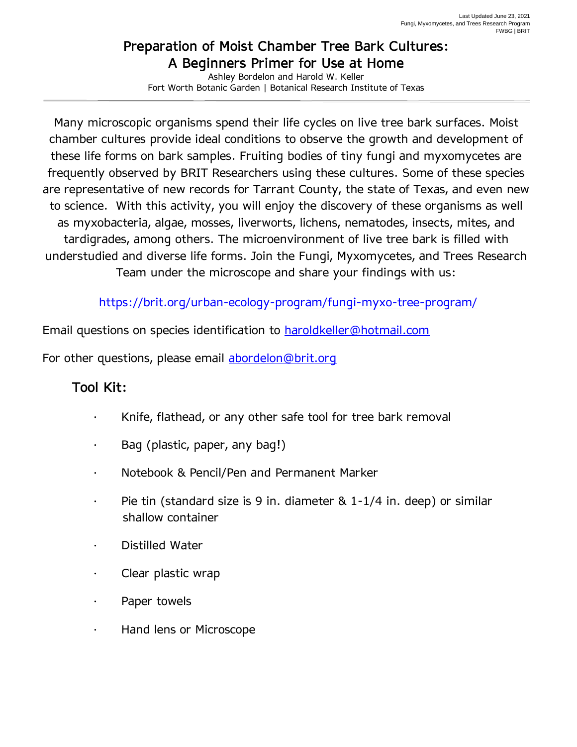## **Preparation of Moist Chamber Tree Bark Cultures: A Beginners Primer for Use at Home**

Ashley Bordelon and Harold W. Keller Fort Worth Botanic Garden | Botanical Research Institute of Texas

Many microscopic organisms spend their life cycles on live tree bark surfaces. Moist chamber cultures provide ideal conditions to observe the growth and development of these life forms on bark samples. Fruiting bodies of tiny fungi and myxomycetes are frequently observed by BRIT Researchers using these cultures. Some of these species are representative of new records for Tarrant County, the state of Texas, and even new to science. With this activity, you will enjoy the discovery of these organisms as well as myxobacteria, algae, mosses, liverworts, lichens, nematodes, insects, mites, and tardigrades, among others. The microenvironment of live tree bark is filled with understudied and diverse life forms. Join the Fungi, Myxomycetes, and Trees Research Team under the microscope and share your findings with us:

<https://brit.org/urban-ecology-program/fungi-myxo-tree-program/>

Email questions on species identification to **haroldkeller@hotmail.com** 

For other questions, please email [abordelon@brit.org](mailto:abordelon@brit.org)

## **Tool Kit:**

- Knife, flathead, or any other safe tool for tree bark removal
- · Bag (plastic, paper, any bag!)
- · Notebook & Pencil/Pen and Permanent Marker
- Pie tin (standard size is 9 in. diameter  $\&$  1-1/4 in. deep) or similar shallow container
- Distilled Water
- · Clear plastic wrap
- Paper towels
- · Hand lens or Microscope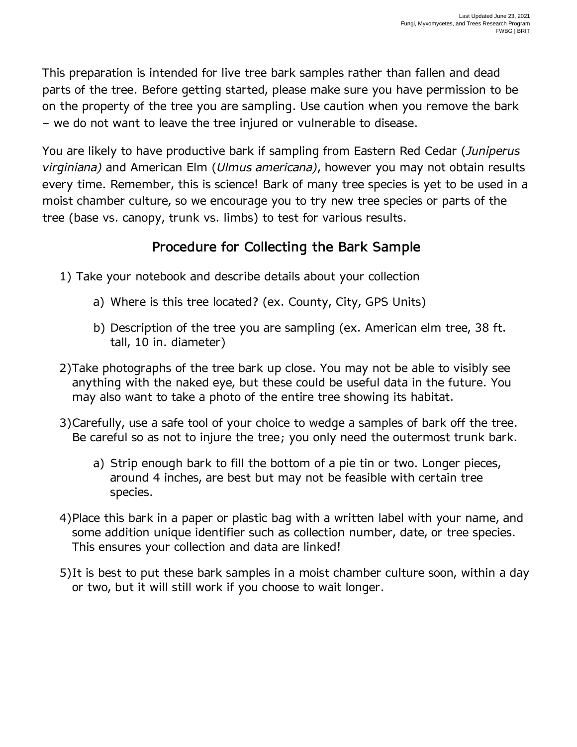This preparation is intended for live tree bark samples rather than fallen and dead parts of the tree. Before getting started, please make sure you have permission to be on the property of the tree you are sampling. Use caution when you remove the bark – we do not want to leave the tree injured or vulnerable to disease.

You are likely to have productive bark if sampling from Eastern Red Cedar (*Juniperus virginiana)* and American Elm (*Ulmus americana)*, however you may not obtain results every time. Remember, this is science! Bark of many tree species is yet to be used in a moist chamber culture, so we encourage you to try new tree species or parts of the tree (base vs. canopy, trunk vs. limbs) to test for various results.

## **Procedure for Collecting the Bark Sample**

- 1) Take your notebook and describe details about your collection
	- a) Where is this tree located? (ex. County, City, GPS Units)
	- b) Description of the tree you are sampling (ex. American elm tree, 38 ft. tall, 10 in. diameter)
- 2)Take photographs of the tree bark up close. You may not be able to visibly see anything with the naked eye, but these could be useful data in the future. You may also want to take a photo of the entire tree showing its habitat.
- 3)Carefully, use a safe tool of your choice to wedge a samples of bark off the tree. Be careful so as not to injure the tree; you only need the outermost trunk bark.
	- a) Strip enough bark to fill the bottom of a pie tin or two. Longer pieces, around 4 inches, are best but may not be feasible with certain tree species.
- 4)Place this bark in a paper or plastic bag with a written label with your name, and some addition unique identifier such as collection number, date, or tree species. This ensures your collection and data are linked!
- 5)It is best to put these bark samples in a moist chamber culture soon, within a day or two, but it will still work if you choose to wait longer.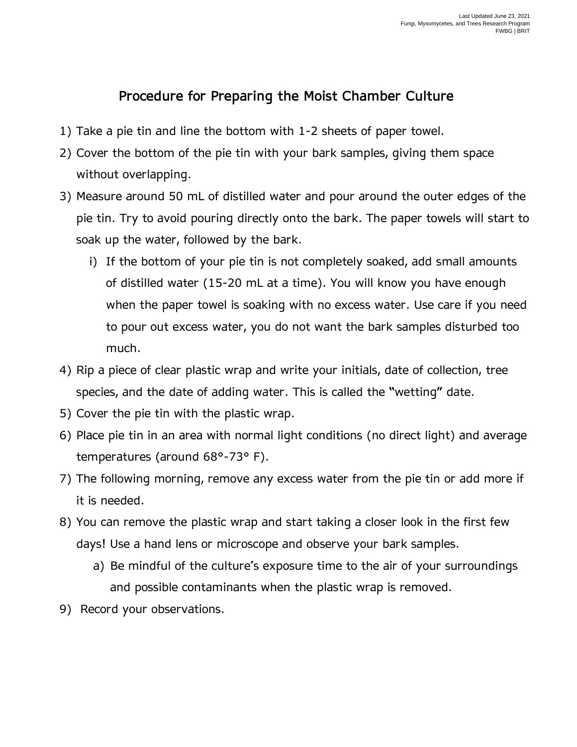## **Procedure for Preparing the Moist Chamber Culture**

- 1) Take a pie tin and line the bottom with 1-2 sheets of paper towel.
- 2) Cover the bottom of the pie tin with your bark samples, giving them space without overlapping.
- 3) Measure around 50 mL of distilled water and pour around the outer edges of the pie tin. Try to avoid pouring directly onto the bark. The paper towels will start to soak up the water, followed by the bark.
	- i) If the bottom of your pie tin is not completely soaked, add small amounts of distilled water (15-20 mL at a time). You will know you have enough when the paper towel is soaking with no excess water. Use care if you need to pour out excess water, you do not want the bark samples disturbed too much.
- 4) Rip a piece of clear plastic wrap and write your initials, date of collection, tree species, and the date of adding water. This is called the "wetting" date.
- 5) Cover the pie tin with the plastic wrap.
- 6) Place pie tin in an area with normal light conditions (no direct light) and average temperatures (around 68°-73° F).
- 7) The following morning, remove any excess water from the pie tin or add more if it is needed.
- 8) You can remove the plastic wrap and start taking a closer look in the first few days! Use a hand lens or microscope and observe your bark samples.
	- a) Be mindful of the culture's exposure time to the air of your surroundings and possible contaminants when the plastic wrap is removed.
- 9) Record your observations.